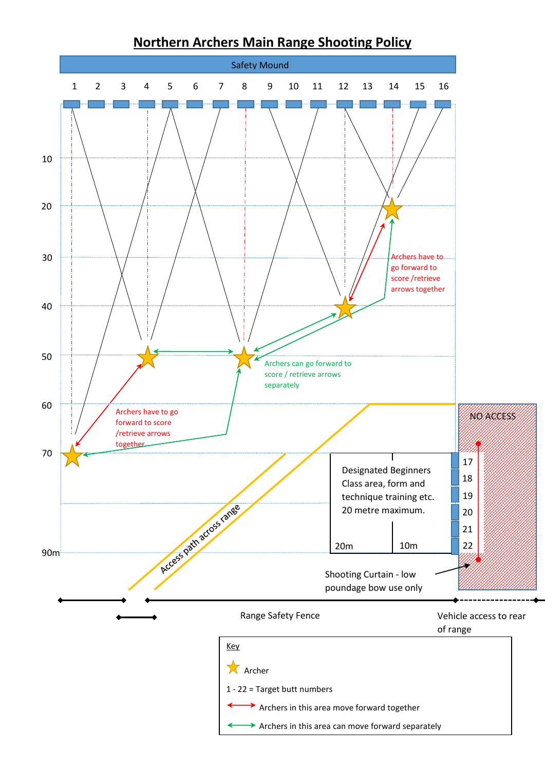

## **Northern Archers Main Range Shooting Policy**